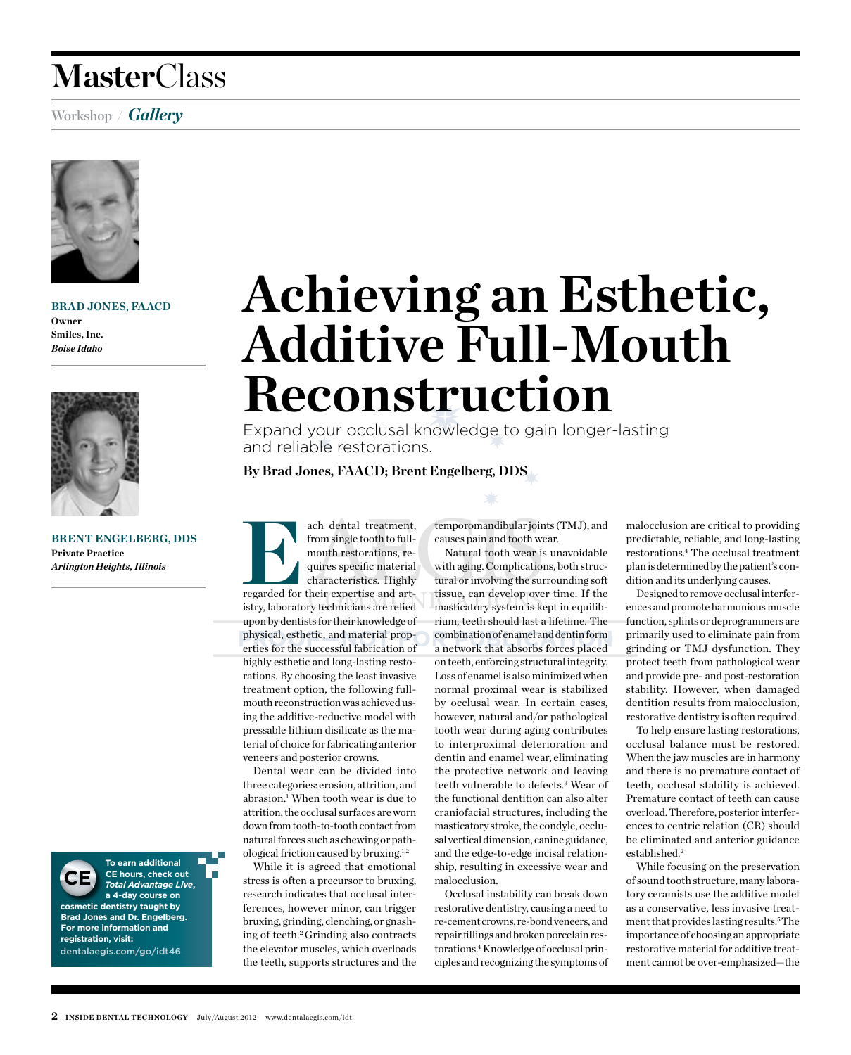### **Master**Class

#### Workshop **/** *Gallery*



**Brad Jones, FAACD Owner Smiles, Inc.** *Boise Idaho*



**Brent Engelberg, DDS Private Practice** *Arlington Heights, Illinois*



**To earn additional CE hours, check out**  *Total Advantage Live***, a 4-day course on** 

**cosmetic dentistry taught by Brad Jones and Dr. Engelberg. For more information and registration, visit:** dentalaegis.com/go/idt46

## **Achieving an Esthetic, Additive Full-Mouth Reconstruction**

Expand your occlusal knowledge to gain longer-lasting and reliable restorations.

**By Brad Jones, FAACD; Brent Engelberg, DDS**

ach dental treatment,<br>
from single tooth to full-<br>
mouth restorations, requires specific material<br>
characteristics. Highly<br>
regarded for their expertise and artfrom single tooth to fullmouth restorations, requires specific material characteristics. Highly istry, laboratory technicians are relied upon by dentists for their knowledge of physical, esthetic, and material properties for the successful fabrication of highly esthetic and long-lasting restorations. By choosing the least invasive treatment option, the following fullmouth reconstruction was achieved using the additive-reductive model with pressable lithium disilicate as the material of choice for fabricating anterior veneers and posterior crowns.

Dental wear can be divided into three categories: erosion, attrition, and abrasion.<sup>1</sup> When tooth wear is due to attrition, the occlusal surfaces are worn down from tooth-to-tooth contact from natural forces such as chewing or pathological friction caused by bruxing.1,2

While it is agreed that emotional stress is often a precursor to bruxing, research indicates that occlusal interferences, however minor, can trigger bruxing, grinding, clenching, or gnashing of teeth.2 Grinding also contracts the elevator muscles, which overloads the teeth, supports structures and the temporomandibular joints (TMJ), and causes pain and tooth wear.

Natural tooth wear is unavoidable with aging. Complications, both structural or involving the surrounding soft tissue, can develop over time. If the masticatory system is kept in equilibrium, teeth should last a lifetime. The combination of enamel and dentin form a network that absorbs forces placed on teeth, enforcing structural integrity. Loss of enamel is also minimized when normal proximal wear is stabilized by occlusal wear. In certain cases, however, natural and/or pathological tooth wear during aging contributes to interproximal deterioration and dentin and enamel wear, eliminating the protective network and leaving teeth vulnerable to defects.3 Wear of the functional dentition can also alter craniofacial structures, including the masticatory stroke, the condyle, occlusal vertical dimension, canine guidance, and the edge-to-edge incisal relationship, resulting in excessive wear and malocclusion.

Occlusal instability can break down restorative dentistry, causing a need to re-cement crowns, re-bond veneers, and repair fillings and broken porcelain restorations.<sup>4</sup> Knowledge of occlusal principles and recognizing the symptoms of malocclusion are critical to providing predictable, reliable, and long-lasting restorations.4 The occlusal treatment plan is determined by the patient's condition and its underlying causes.

Designed to remove occlusal interferences and promote harmonious muscle function, splints or deprogrammers are primarily used to eliminate pain from grinding or TMJ dysfunction. They protect teeth from pathological wear and provide pre- and post-restoration stability. However, when damaged dentition results from malocclusion, restorative dentistry is often required.

To help ensure lasting restorations, occlusal balance must be restored. When the jaw muscles are in harmony and there is no premature contact of teeth, occlusal stability is achieved. Premature contact of teeth can cause overload. Therefore, posterior interferences to centric relation (CR) should be eliminated and anterior guidance established.2

While focusing on the preservation of sound tooth structure, many laboratory ceramists use the additive model as a conservative, less invasive treatment that provides lasting results.5 The importance of choosing an appropriate restorative material for additive treatment cannot be over-emphasized—the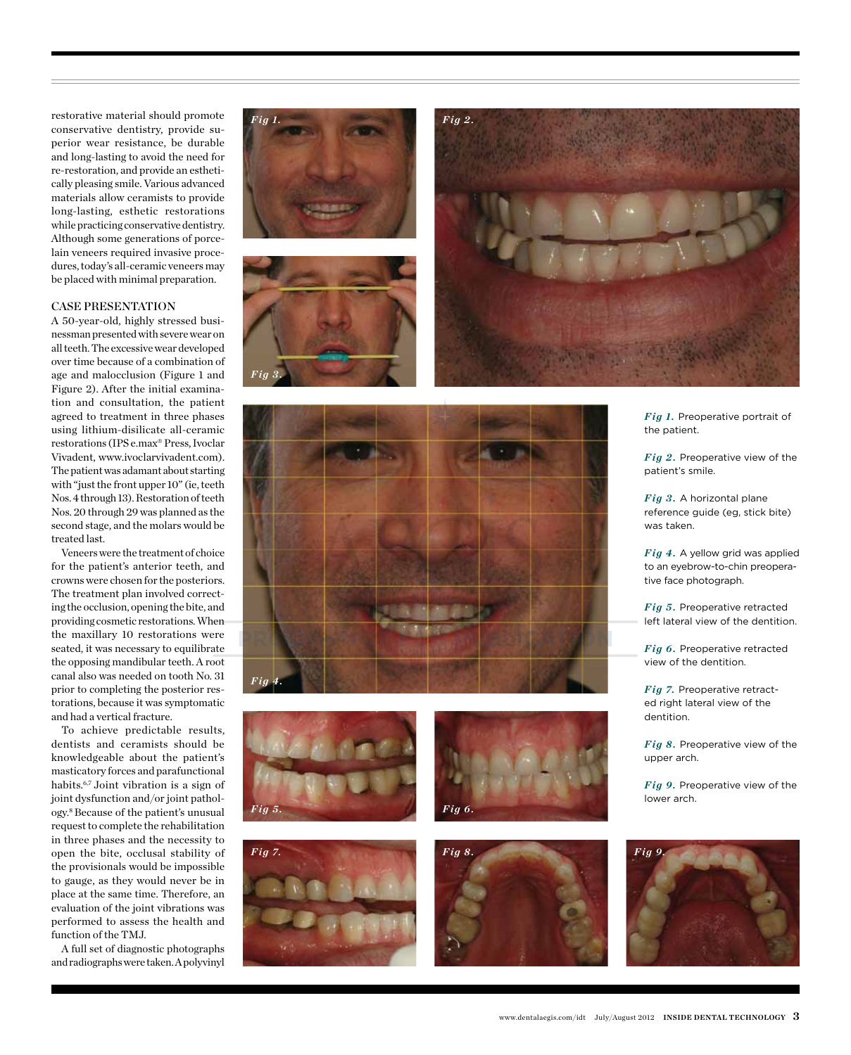restorative material should promote conservative dentistry, provide superior wear resistance, be durable and long-lasting to avoid the need for re-restoration, and provide an esthetically pleasing smile. Various advanced materials allow ceramists to provide long-lasting, esthetic restorations while practicing conservative dentistry. Although some generations of porcelain veneers required invasive procedures, today's all-ceramic veneers may be placed with minimal preparation.

#### Case Presentation

A 50-year-old, highly stressed businessman presented with severe wear on all teeth. The excessive wear developed over time because of a combination of age and malocclusion (Figure 1 and Figure 2). After the initial examination and consultation, the patient agreed to treatment in three phases using lithium-disilicate all-ceramic restorations (IPS e.max® Press, Ivoclar Vivadent, www.ivoclarvivadent.com). The patient was adamant about starting with "just the front upper 10" (ie, teeth Nos. 4 through 13). Restoration of teeth Nos. 20 through 29 was planned as the second stage, and the molars would be treated last.

Veneers were the treatment of choice for the patient's anterior teeth, and crowns were chosen for the posteriors. The treatment plan involved correcting the occlusion, opening the bite, and providing cosmetic restorations. When the maxillary 10 restorations were seated, it was necessary to equilibrate the opposing mandibular teeth. A root canal also was needed on tooth No. 31 prior to completing the posterior restorations, because it was symptomatic and had a vertical fracture.

To achieve predictable results, dentists and ceramists should be knowledgeable about the patient's masticatory forces and parafunctional habits.<sup>6,7</sup> Joint vibration is a sign of joint dysfunction and/or joint pathology.8 Because of the patient's unusual request to complete the rehabilitation in three phases and the necessity to open the bite, occlusal stability of the provisionals would be impossible to gauge, as they would never be in place at the same time. Therefore, an evaluation of the joint vibrations was performed to assess the health and function of the TMJ.

A full set of diagnostic photographs and radiographs were taken. A polyvinyl







*Fig 1.* Preoperative portrait of the patient.

*Fig 2.* Preoperative view of the patient's smile.

*Fig 3.* A horizontal plane reference guide (eg, stick bite) was taken.

*Fig 4.* A yellow grid was applied to an eyebrow-to-chin preoperative face photograph.

*Fig 5.* Preoperative retracted left lateral view of the dentition.

*Fig 6.* Preoperative retracted view of the dentition.

*Fig 7.* Preoperative retracted right lateral view of the dentition.

*Fig 8.* Preoperative view of the upper arch.

*Fig 9.* Preoperative view of the lower arch.







*Fig 6.*





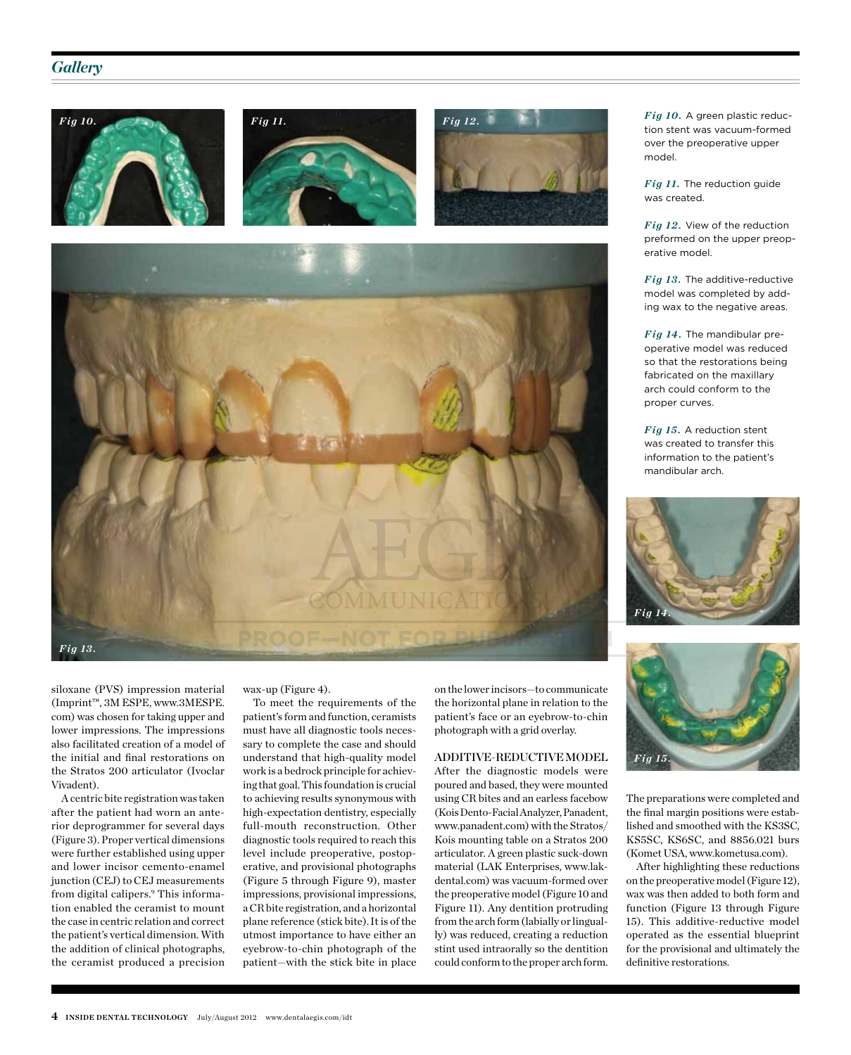#### *Gallery*









siloxane (PVS) impression material (Imprint™, 3M ESPE, www.3MESPE. com) was chosen for taking upper and lower impressions. The impressions also facilitated creation of a model of the initial and final restorations on the Stratos 200 articulator (Ivoclar Vivadent).

A centric bite registration was taken after the patient had worn an anterior deprogrammer for several days (Figure 3). Proper vertical dimensions were further established using upper and lower incisor cemento-enamel junction (CEJ) to CEJ measurements from digital calipers.<sup>9</sup> This information enabled the ceramist to mount the case in centric relation and correct the patient's vertical dimension. With the addition of clinical photographs, the ceramist produced a precision

wax-up (Figure 4).

To meet the requirements of the patient's form and function, ceramists must have all diagnostic tools necessary to complete the case and should understand that high-quality model work is a bedrock principle for achieving that goal. This foundation is crucial to achieving results synonymous with high-expectation dentistry, especially full-mouth reconstruction. Other diagnostic tools required to reach this level include preoperative, postoperative, and provisional photographs (Figure 5 through Figure 9), master impressions, provisional impressions, a CR bite registration, and a horizontal plane reference (stick bite). It is of the utmost importance to have either an eyebrow-to-chin photograph of the patient—with the stick bite in place on the lower incisors—to communicate the horizontal plane in relation to the patient's face or an eyebrow-to-chin photograph with a grid overlay.

#### Additive-Reductive Model

After the diagnostic models were poured and based, they were mounted using CR bites and an earless facebow (Kois Dento-Facial Analyzer, Panadent, www.panadent.com) with the Stratos/ Kois mounting table on a Stratos 200 articulator. A green plastic suck-down material (LAK Enterprises, www.lakdental.com) was vacuum-formed over the preoperative model (Figure 10 and Figure 11). Any dentition protruding from the arch form (labially or lingually) was reduced, creating a reduction stint used intraorally so the dentition could conform to the proper arch form.

*Fig 10.* A green plastic reduction stent was vacuum-formed over the preoperative upper model.

*Fig 11.* The reduction guide was created.

*Fig 12.* View of the reduction preformed on the upper preoperative model.

*Fig 13.* The additive-reductive model was completed by adding wax to the negative areas.

*Fig 14.* The mandibular preoperative model was reduced so that the restorations being fabricated on the maxillary arch could conform to the proper curves.

*Fig 15.* A reduction stent was created to transfer this information to the patient's mandibular arch.





The preparations were completed and the final margin positions were established and smoothed with the KS3SC, KS5SC, KS6SC, and 8856.021 burs (Komet USA, www.kometusa.com).

After highlighting these reductions on the preoperative model (Figure 12), wax was then added to both form and function (Figure 13 through Figure 15). This additive-reductive model operated as the essential blueprint for the provisional and ultimately the definitive restorations.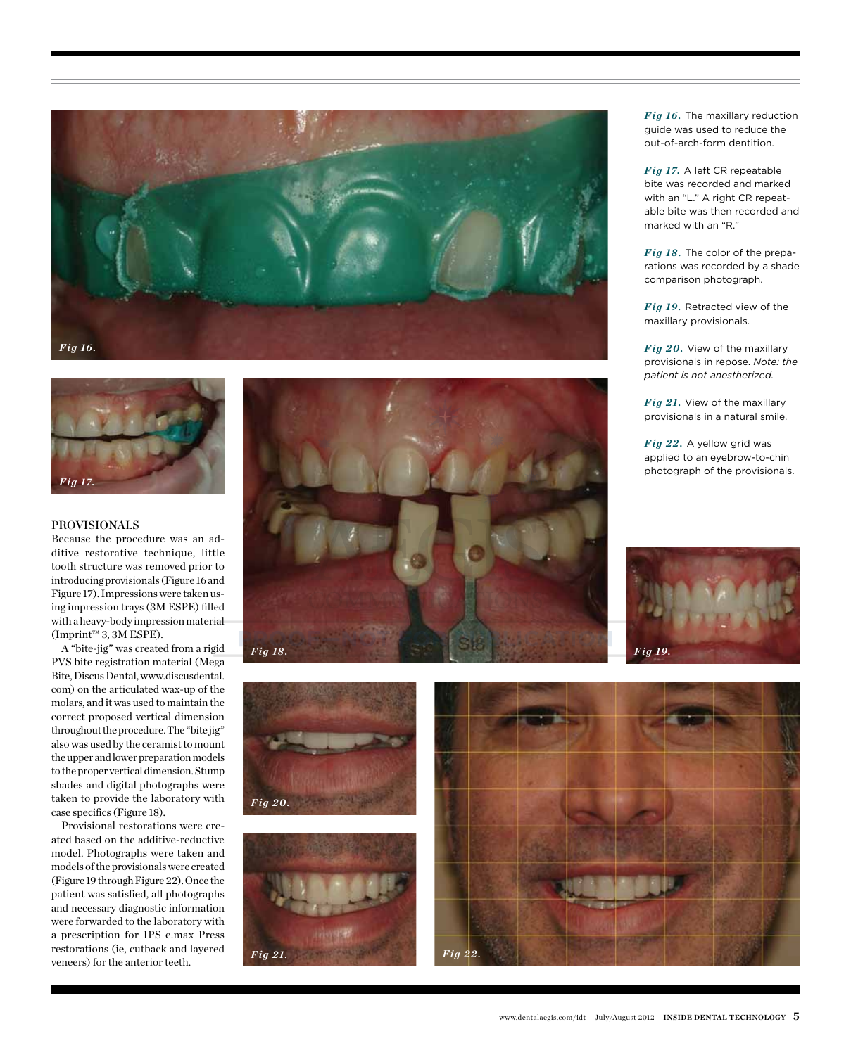



#### Provisionals

Because the procedure was an additive restorative technique, little tooth structure was removed prior to introducing provisionals (Figure 16 and Figure 17). Impressions were taken using impression trays (3M ESPE) filled with a heavy-body impression material  $(Imprint^m 3, 3M ESPE).$ 

A "bite-jig" was created from a rigid PVS bite registration material (Mega Bite, Discus Dental, www.discusdental. com) on the articulated wax-up of the molars, and it was used to maintain the correct proposed vertical dimension throughout the procedure. The "bite jig" also was used by the ceramist to mount the upper and lower preparation models to the proper vertical dimension. Stump shades and digital photographs were taken to provide the laboratory with case specifics (Figure 18).

*Fig 20.*

Provisional restorations were created based on the additive-reductive model. Photographs were taken and models of the provisionals were created (Figure 19 through Figure 22). Once the patient was satisfied, all photographs and necessary diagnostic information were forwarded to the laboratory with a prescription for IPS e.max Press restorations (ie, cutback and layered veneers) for the anterior teeth.



*Fig 16.* The maxillary reduction guide was used to reduce the out-of-arch-form dentition.

*Fig 17.* A left CR repeatable bite was recorded and marked with an "L." A right CR repeatable bite was then recorded and marked with an "R."

*Fig 18.* The color of the preparations was recorded by a shade comparison photograph.

*Fig 19.* Retracted view of the maxillary provisionals.

*Fig 20.* View of the maxillary provisionals in repose. *Note: the patient is not anesthetized.*

*Fig 21.* View of the maxillary provisionals in a natural smile.

*Fig 22.* A yellow grid was applied to an eyebrow-to-chin photograph of the provisionals.



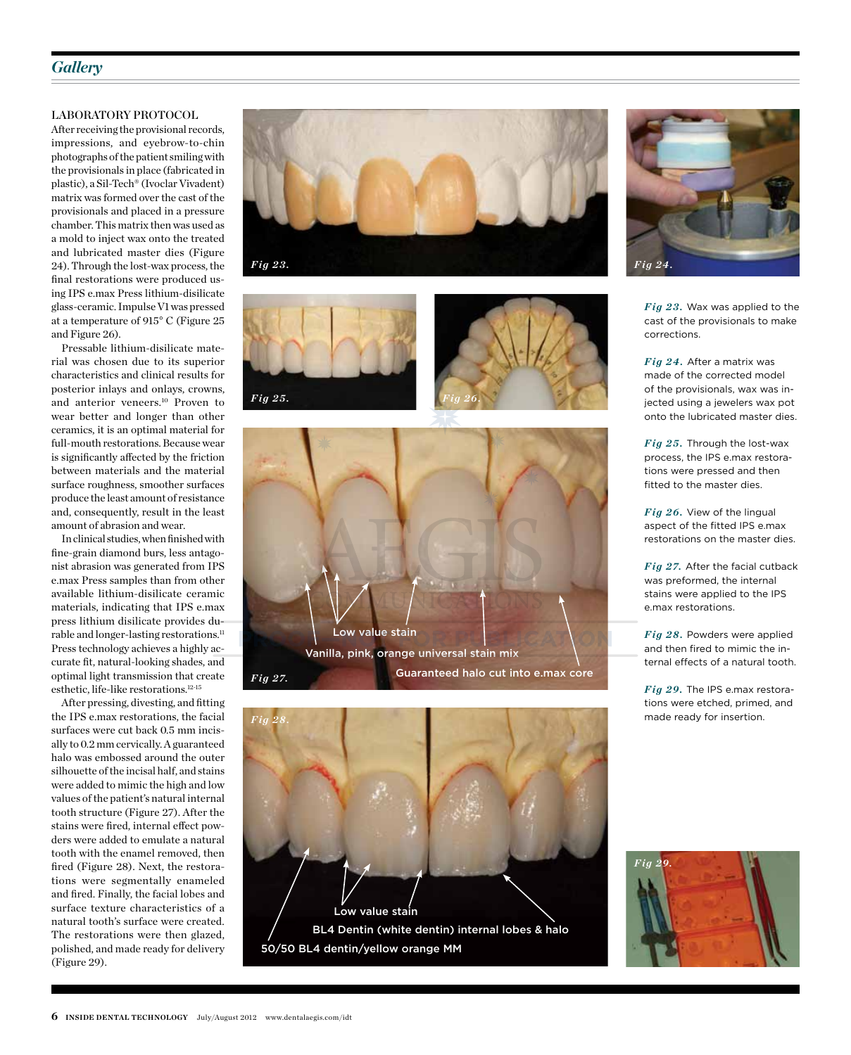#### *Gallery*

#### Laboratory Protocol

After receiving the provisional records, impressions, and eyebrow-to-chin photographs of the patient smiling with the provisionals in place (fabricated in plastic), a Sil-Tech® (Ivoclar Vivadent) matrix was formed over the cast of the provisionals and placed in a pressure chamber. This matrix then was used as a mold to inject wax onto the treated and lubricated master dies (Figure 24). Through the lost-wax process, the final restorations were produced using IPS e.max Press lithium-disilicate glass-ceramic. Impulse V1 was pressed at a temperature of 915° C (Figure 25 and Figure 26).

Pressable lithium-disilicate material was chosen due to its superior characteristics and clinical results for posterior inlays and onlays, crowns, and anterior veneers.10 Proven to wear better and longer than other ceramics, it is an optimal material for full-mouth restorations. Because wear is significantly affected by the friction between materials and the material surface roughness, smoother surfaces produce the least amount of resistance and, consequently, result in the least amount of abrasion and wear.

In clinical studies, when finished with fine-grain diamond burs, less antagonist abrasion was generated from IPS e.max Press samples than from other available lithium-disilicate ceramic materials, indicating that IPS e.max press lithium disilicate provides durable and longer-lasting restorations.<sup>11</sup> Press technology achieves a highly accurate fit, natural-looking shades, and optimal light transmission that create esthetic, life-like restorations.12-15

After pressing, divesting, and fitting the IPS e.max restorations, the facial surfaces were cut back 0.5 mm incisally to 0.2 mm cervically. A guaranteed halo was embossed around the outer silhouette of the incisal half, and stains were added to mimic the high and low values of the patient's natural internal tooth structure (Figure 27). After the stains were fired, internal effect powders were added to emulate a natural tooth with the enamel removed, then fired (Figure 28). Next, the restorations were segmentally enameled and fired. Finally, the facial lobes and surface texture characteristics of a natural tooth's surface were created. The restorations were then glazed, polished, and made ready for delivery (Figure 29).













*Fig 23.* Wax was applied to the cast of the provisionals to make corrections.

*Fig 24.* After a matrix was made of the corrected model of the provisionals, wax was injected using a jewelers wax pot onto the lubricated master dies.

*Fig 25.* Through the lost-wax process, the IPS e.max restorations were pressed and then fitted to the master dies.

*Fig 26.* View of the lingual aspect of the fitted IPS e.max restorations on the master dies.

*Fig 27.* After the facial cutback was preformed, the internal stains were applied to the IPS e.max restorations.

*Fig 28.* Powders were applied and then fired to mimic the internal effects of a natural tooth.

*Fig 29.* The IPS e.max restorations were etched, primed, and made ready for insertion.

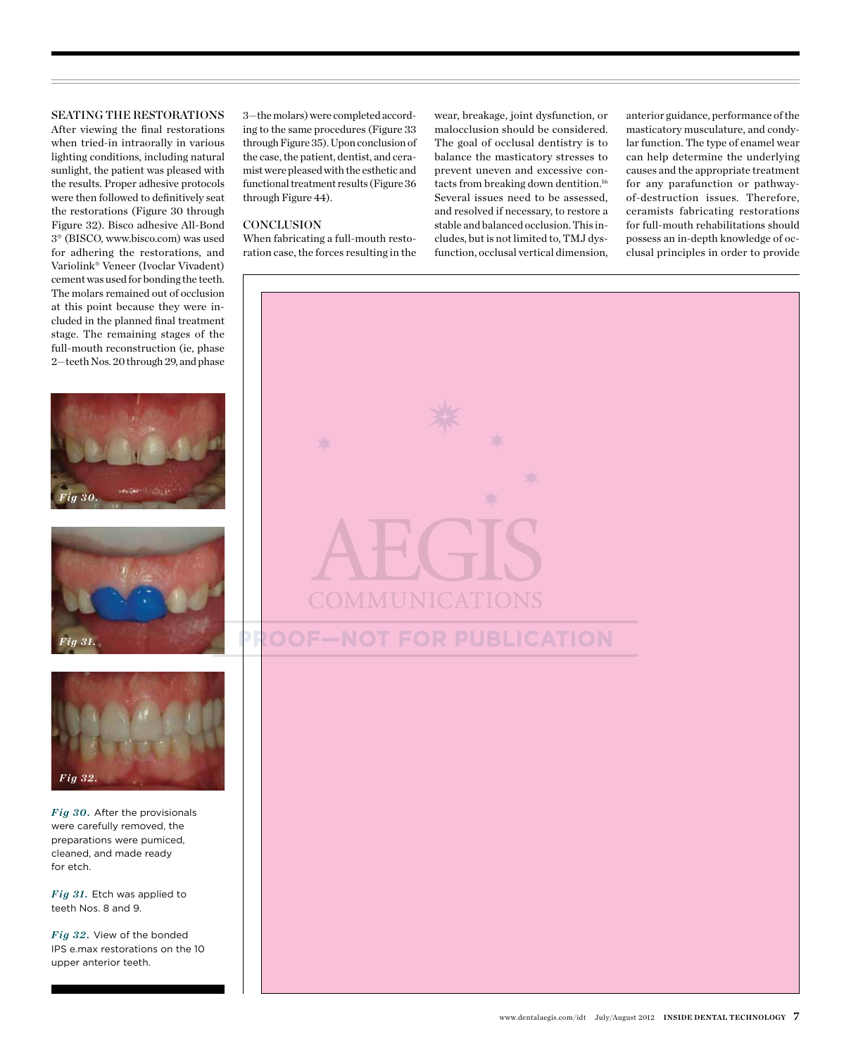#### Seating the Restorations

After viewing the final restorations when tried-in intraorally in various lighting conditions, including natural sunlight, the patient was pleased with the results. Proper adhesive protocols were then followed to definitively seat the restorations (Figure 30 through Figure 32). Bisco adhesive All-Bond 3® (BISCO, www.bisco.com) was used for adhering the restorations, and Variolink® Veneer (Ivoclar Vivadent) cement was used for bonding the teeth. The molars remained out of occlusion at this point because they were included in the planned final treatment stage. The remaining stages of the full-mouth reconstruction (ie, phase 2—teeth Nos. 20 through 29, and phase







*Fig 30.* After the provisionals were carefully removed, the preparations were pumiced, cleaned, and made ready for etch.

*Fig 31.* Etch was applied to teeth Nos. 8 and 9.

*Fig 32.* View of the bonded IPS e.max restorations on the 10 upper anterior teeth.

3—the molars) were completed according to the same procedures (Figure 33 through Figure 35). Upon conclusion of the case, the patient, dentist, and ceramist were pleased with the esthetic and functional treatment results (Figure 36 through Figure 44).

#### **CONCLUSION**

When fabricating a full-mouth restoration case, the forces resulting in the wear, breakage, joint dysfunction, or malocclusion should be considered. The goal of occlusal dentistry is to balance the masticatory stresses to prevent uneven and excessive contacts from breaking down dentition.<sup>16</sup> Several issues need to be assessed, and resolved if necessary, to restore a stable and balanced occlusion. This includes, but is not limited to, TMJ dysfunction, occlusal vertical dimension,

anterior guidance, performance of the masticatory musculature, and condylar function. The type of enamel wear can help determine the underlying causes and the appropriate treatment for any parafunction or pathwayof-destruction issues. Therefore, ceramists fabricating restorations for full-mouth rehabilitations should possess an in-depth knowledge of occlusal principles in order to provide

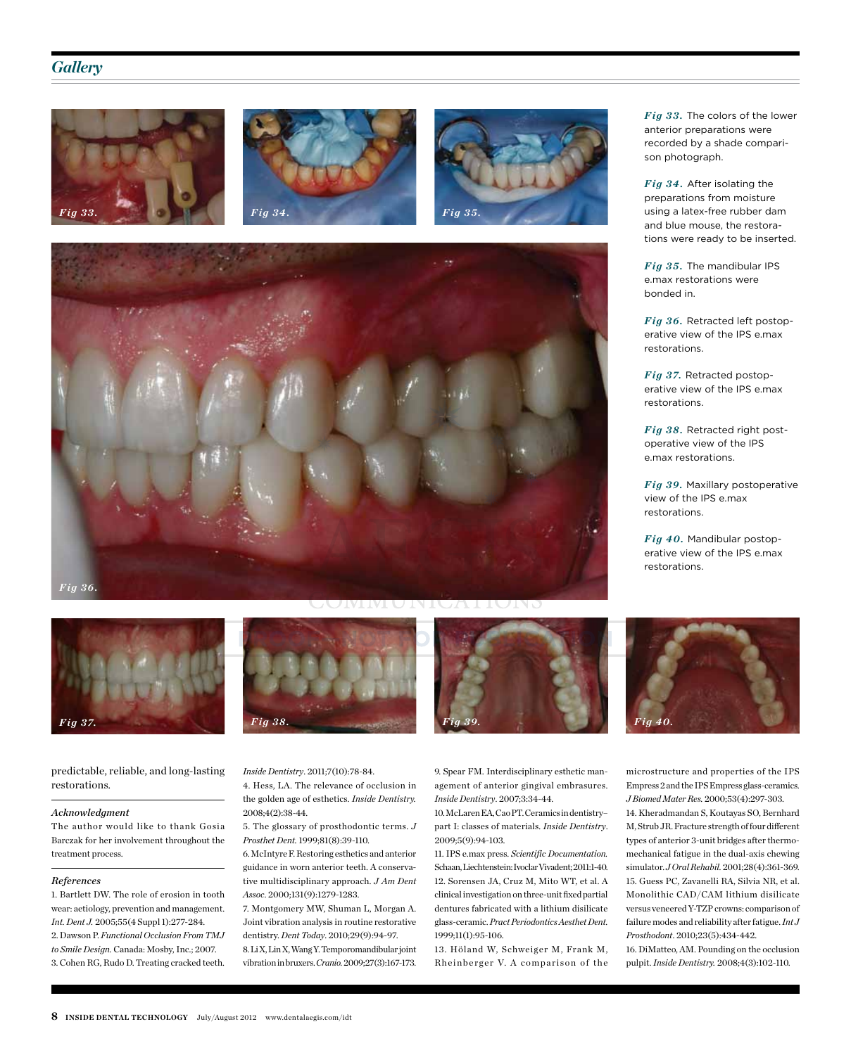#### *Gallery*











predictable, reliable, and long-lasting restorations.

#### *Acknowledgment*

The author would like to thank Gosia Barczak for her involvement throughout the treatment process.

#### *References*

1. Bartlett DW. The role of erosion in tooth wear: aetiology, prevention and management. *Int. Dent J.* 2005;55(4 Suppl 1):277-284. 2. Dawson P. *Functional Occlusion From TMJ to Smile Design.* Canada: Mosby, Inc.; 2007. 3. Cohen RG, Rudo D. Treating cracked teeth.



4. Hess, LA. The relevance of occlusion in the golden age of esthetics. *Inside Dentistry.*

5. The glossary of prosthodontic terms. *J* 

6. McIntyre F. Restoring esthetics and anterior guidance in worn anterior teeth. A conservative multidisciplinary approach. *J Am Dent* 

7. Montgomery MW, Shuman L, Morgan A. Joint vibration analysis in routine restorative dentistry. *Dent Today*. 2010;29(9):94-97. 8. Li X, Lin X, Wang Y. Temporomandibular joint vibration in bruxers. *Cranio.* 2009;27(3):167-173.

*Inside Dentistry*. 2011;7(10):78-84.

*Prosthet Dent.* 1999;81(8):39-110.

*Assoc*. 2000;131(9):1279-1283.

2008;4(2):38-44.

*Fig 38. Fig 39. Fig 40.*

9. Spear FM. Interdisciplinary esthetic management of anterior gingival embrasures. *Inside Dentistry*. 2007;3:34-44.

10. McLaren EA, Cao PT. Ceramics in dentistry– part I: classes of materials. *Inside Dentistry*. 2009;5(9):94-103.

11. IPS e.max press. *Scientific Documentation.* Schaan, Liechtenstein: Ivoclar Vivadent; 2011:1-40. 12. Sorensen JA, Cruz M, Mito WT, et al. A clinical investigation on three-unit fixed partial dentures fabricated with a lithium disilicate glass-ceramic. *Pract Periodontics Aesthet Dent.* 1999;11(1):95-106.

13. Höland W, Schweiger M, Frank M, Rheinberger V. A comparison of the *Fig 33.* The colors of the lower anterior preparations were recorded by a shade comparison photograph.

*Fig 34.* After isolating the preparations from moisture using a latex-free rubber dam and blue mouse, the restorations were ready to be inserted.

*Fig 35.* The mandibular IPS e.max restorations were bonded in.

*Fig 36.* Retracted left postoperative view of the IPS e.max restorations.

*Fig 37.* Retracted postoperative view of the IPS e.max restorations.

*Fig 38.* Retracted right postoperative view of the IPS e.max restorations.

*Fig 39.* Maxillary postoperative view of the IPS e.max restorations.

*Fig 40.* Mandibular postoperative view of the IPS e.max restorations.



microstructure and properties of the IPS Empress 2 and the IPS Empress glass-ceramics. *J Biomed Mater Res.* 2000;53(4):297-303.

14. Kheradmandan S, Koutayas SO, Bernhard M, Strub JR. Fracture strength of four different types of anterior 3-unit bridges after thermomechanical fatigue in the dual-axis chewing simulator. *J Oral Rehabil.* 2001;28(4):361-369. 15. Guess PC, Zavanelli RA, Silvia NR, et al. Monolithic CAD/CAM lithium disilicate versus veneered Y-TZP crowns: comparison of failure modes and reliability after fatigue. *Int J Prosthodont*. 2010;23(5):434-442.

16. DiMatteo, AM. Pounding on the occlusion pulpit. *Inside Dentistry.* 2008;4(3):102-110.